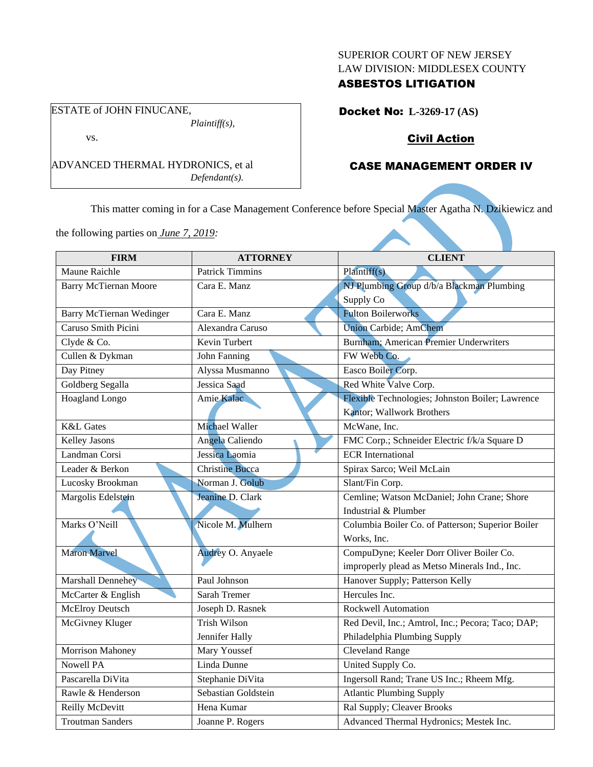### SUPERIOR COURT OF NEW JERSEY LAW DIVISION: MIDDLESEX COUNTY

# ASBESTOS LITIGATION

Docket No: **L-3269-17 (AS)**

# Civil Action

# CASE MANAGEMENT ORDER IV

This matter coming in for a Case Management Conference before Special Master Agatha N. Dzikiewicz and

the following parties on *June 7, 2019:*

ADVANCED THERMAL HYDRONICS, et al

ESTATE of JOHN FINUCANE,

vs.

*Plaintiff(s),*

*Defendant(s).*

| <b>FIRM</b>                  | <b>ATTORNEY</b>        | <b>CLIENT</b>                                     |
|------------------------------|------------------------|---------------------------------------------------|
| Maune Raichle                | <b>Patrick Timmins</b> | Plaintiff(s)                                      |
| <b>Barry McTiernan Moore</b> | Cara E. Manz           | NJ Plumbing Group d/b/a Blackman Plumbing         |
|                              |                        | Supply Co                                         |
| Barry McTiernan Wedinger     | Cara E. Manz           | <b>Fulton Boilerworks</b>                         |
| Caruso Smith Picini          | Alexandra Caruso       | <b>Union Carbide; AmChem</b>                      |
| Clyde & Co.                  | Kevin Turbert          | Burnham; American Premier Underwriters            |
| Cullen & Dykman              | John Fanning           | FW Webb Co.                                       |
| Day Pitney                   | Alyssa Musmanno        | Easco Boiler Corp.                                |
| Goldberg Segalla             | Jessica Saad           | Red White Valve Corp.                             |
| <b>Hoagland Longo</b>        | Amie Kalac             | Flexible Technologies; Johnston Boiler; Lawrence  |
|                              |                        | Kantor; Wallwork Brothers                         |
| <b>K&amp;L</b> Gates         | Michael Waller         | McWane, Inc.                                      |
| Kelley Jasons                | Angela Caliendo        | FMC Corp.; Schneider Electric f/k/a Square D      |
| Landman Corsi                | Jessica Laomia         | <b>ECR</b> International                          |
| Leader & Berkon              | <b>Christine Bucca</b> | Spirax Sarco; Weil McLain                         |
| Lucosky Brookman             | Norman J. Golub        | Slant/Fin Corp.                                   |
| Margolis Edelstein           | Jeanine D. Clark       | Cemline; Watson McDaniel; John Crane; Shore       |
|                              |                        | Industrial & Plumber                              |
| Marks O'Neill                | Nicole M. Mulhern      | Columbia Boiler Co. of Patterson; Superior Boiler |
|                              |                        | Works, Inc.                                       |
| <b>Maron Marvel</b>          | Audrey O. Anyaele      | CompuDyne; Keeler Dorr Oliver Boiler Co.          |
|                              |                        | improperly plead as Metso Minerals Ind., Inc.     |
| Marshall Dennehey            | Paul Johnson           | Hanover Supply; Patterson Kelly                   |
| McCarter & English           | Sarah Tremer           | Hercules Inc.                                     |
| McElroy Deutsch              | Joseph D. Rasnek       | Rockwell Automation                               |
| McGivney Kluger              | <b>Trish Wilson</b>    | Red Devil, Inc.; Amtrol, Inc.; Pecora; Taco; DAP; |
|                              | Jennifer Hally         | Philadelphia Plumbing Supply                      |
| <b>Morrison Mahoney</b>      | Mary Youssef           | Cleveland Range                                   |
| <b>Nowell PA</b>             | Linda Dunne            | United Supply Co.                                 |
| Pascarella DiVita            | Stephanie DiVita       | Ingersoll Rand; Trane US Inc.; Rheem Mfg.         |
| Rawle & Henderson            | Sebastian Goldstein    | <b>Atlantic Plumbing Supply</b>                   |
| Reilly McDevitt              | Hena Kumar             | Ral Supply; Cleaver Brooks                        |
| <b>Troutman Sanders</b>      | Joanne P. Rogers       | Advanced Thermal Hydronics; Mestek Inc.           |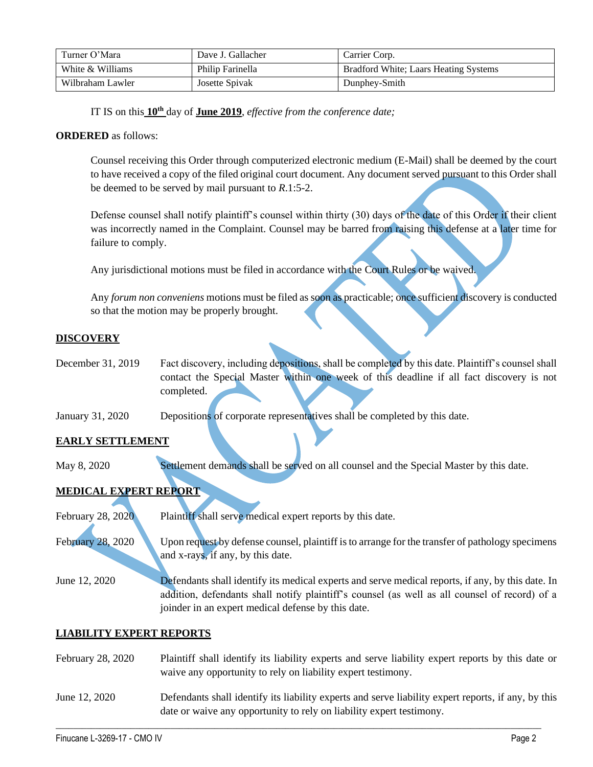| Turner O'Mara    | Dave J. Gallacher | Carrier Corp.                         |
|------------------|-------------------|---------------------------------------|
| White & Williams | Philip Farinella  | Bradford White; Laars Heating Systems |
| Wilbraham Lawler | Josette Spivak    | Dunphey-Smith                         |

IT IS on this **10th** day of **June 2019**, *effective from the conference date;*

#### **ORDERED** as follows:

Counsel receiving this Order through computerized electronic medium (E-Mail) shall be deemed by the court to have received a copy of the filed original court document. Any document served pursuant to this Order shall be deemed to be served by mail pursuant to *R*.1:5-2.

Defense counsel shall notify plaintiff's counsel within thirty (30) days of the date of this Order if their client was incorrectly named in the Complaint. Counsel may be barred from raising this defense at a later time for failure to comply.

Any jurisdictional motions must be filed in accordance with the Court Rules or be waived.

Any *forum non conveniens* motions must be filed as soon as practicable; once sufficient discovery is conducted so that the motion may be properly brought.

### **DISCOVERY**

- December 31, 2019 Fact discovery, including depositions, shall be completed by this date. Plaintiff's counsel shall contact the Special Master within one week of this deadline if all fact discovery is not completed.
- January 31, 2020 Depositions of corporate representatives shall be completed by this date.

#### **EARLY SETTLEMENT**

May 8, 2020 Settlement demands shall be served on all counsel and the Special Master by this date.

## **MEDICAL EXPERT REPORT**

- February 28, 2020 Plaintiff shall serve medical expert reports by this date.
- February 28, 2020 Upon request by defense counsel, plaintiff is to arrange for the transfer of pathology specimens and x-rays, if any, by this date.

June 12, 2020 Defendants shall identify its medical experts and serve medical reports, if any, by this date. In addition, defendants shall notify plaintiff's counsel (as well as all counsel of record) of a joinder in an expert medical defense by this date.

#### **LIABILITY EXPERT REPORTS**

- February 28, 2020 Plaintiff shall identify its liability experts and serve liability expert reports by this date or waive any opportunity to rely on liability expert testimony.
- June 12, 2020 Defendants shall identify its liability experts and serve liability expert reports, if any, by this date or waive any opportunity to rely on liability expert testimony.

 $\_$  , and the set of the set of the set of the set of the set of the set of the set of the set of the set of the set of the set of the set of the set of the set of the set of the set of the set of the set of the set of th